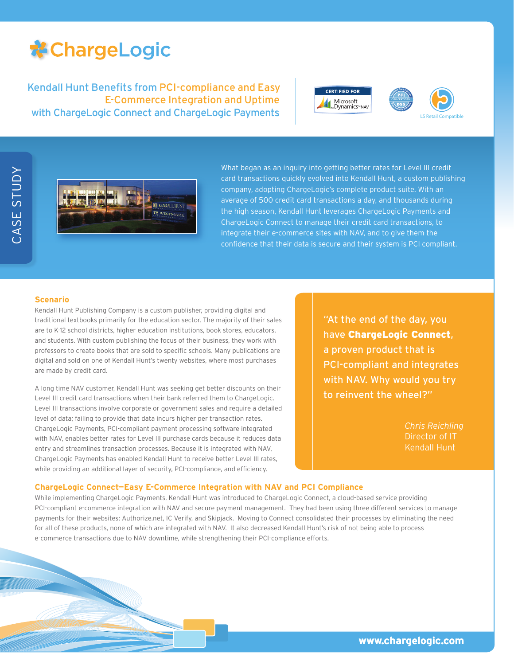## **\*ChargeLogic**

Kendall Hunt Benefits from PCI-compliance and Easy E-Commerce Integration and Uptime with ChargeLogic Connect and ChargeLogic Payments







What began as an inquiry into getting better rates for Level III credit card transactions quickly evolved into Kendall Hunt, a custom publishing company, adopting ChargeLogic's complete product suite. With an average of 500 credit card transactions a day, and thousands during the high season, Kendall Hunt leverages ChargeLogic Payments and ChargeLogic Connect to manage their credit card transactions, to integrate their e-commerce sites with NAV, and to give them the confidence that their data is secure and their system is PCI compliant.

## **Scenario**

Kendall Hunt Publishing Company is a custom publisher, providing digital and traditional textbooks primarily for the education sector. The majority of their sales are to K-12 school districts, higher education institutions, book stores, educators, and students. With custom publishing the focus of their business, they work with professors to create books that are sold to specific schools. Many publications are digital and sold on one of Kendall Hunt's twenty websites, where most purchases are made by credit card.

A long time NAV customer, Kendall Hunt was seeking get better discounts on their Level III credit card transactions when their bank referred them to ChargeLogic. Level III transactions involve corporate or government sales and require a detailed level of data; failing to provide that data incurs higher per transaction rates. ChargeLogic Payments, PCI-compliant payment processing software integrated with NAV, enables better rates for Level III purchase cards because it reduces data entry and streamlines transaction processes. Because it is integrated with NAV, ChargeLogic Payments has enabled Kendall Hunt to receive better Level III rates, while providing an additional layer of security, PCI-compliance, and efficiency.

"At the end of the day, you have ChargeLogic Connect, a proven product that is PCI-compliant and integrates with NAV. Why would you try to reinvent the wheel?"

> *Chris Reichling* Director of IT Kendall Hunt

#### **ChargeLogic Connect—Easy E-Commerce Integration with NAV and PCI Compliance**

While implementing ChargeLogic Payments, Kendall Hunt was introduced to ChargeLogic Connect, a cloud-based service providing PCI-compliant e-commerce integration with NAV and secure payment management. They had been using three different services to manage payments for their websites: Authorize.net, IC Verify, and Skipjack. Moving to Connect consolidated their processes by eliminating the need for all of these products, none of which are integrated with NAV. It also decreased Kendall Hunt's risk of not being able to process e-commerce transactions due to NAV downtime, while strengthening their PCI-compliance efforts.